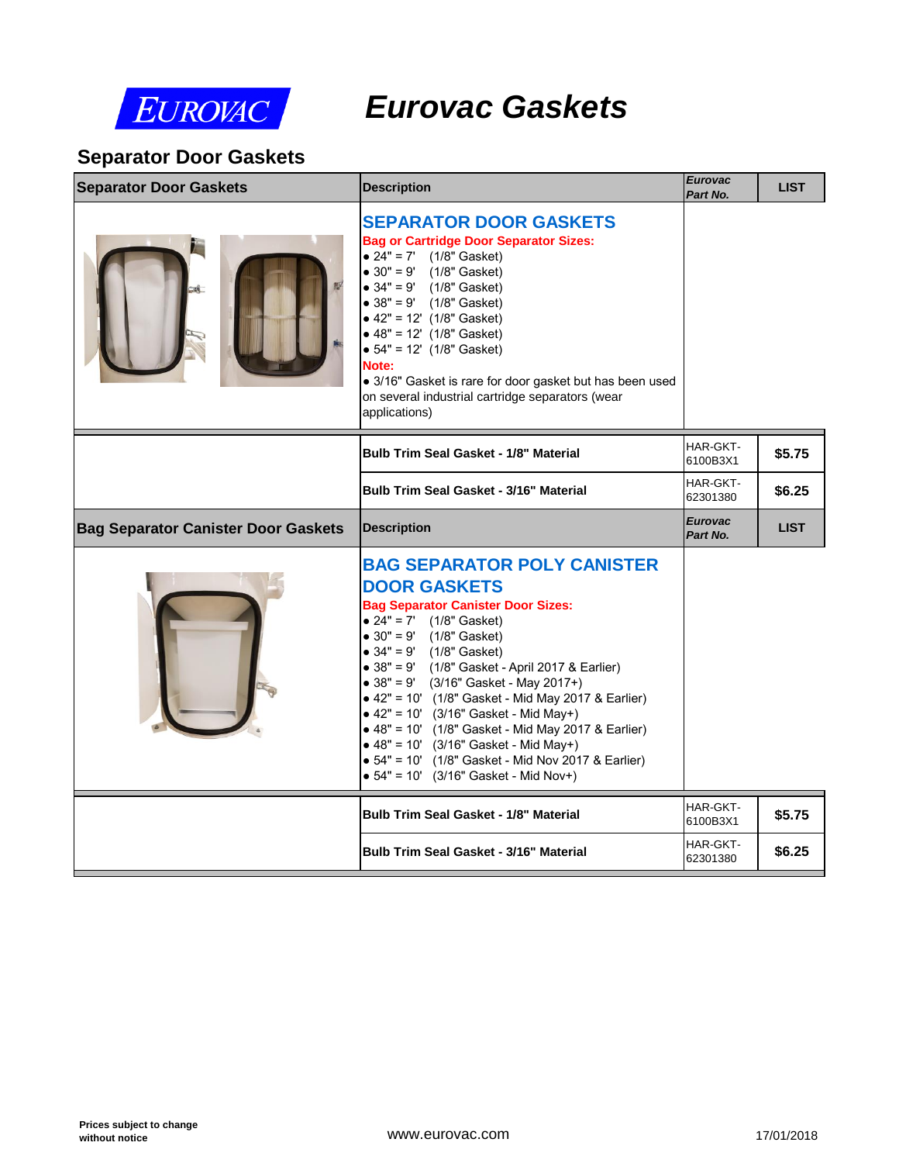

# *Eurovac Gaskets*

### **Separator Door Gaskets**

| <b>Separator Door Gaskets</b>              | <b>Description</b>                                                                                                                                                                                                                                                                                                                                                                                                                                                                                                                                                                                                   | <b>Eurovac</b><br>Part No. |  |
|--------------------------------------------|----------------------------------------------------------------------------------------------------------------------------------------------------------------------------------------------------------------------------------------------------------------------------------------------------------------------------------------------------------------------------------------------------------------------------------------------------------------------------------------------------------------------------------------------------------------------------------------------------------------------|----------------------------|--|
|                                            | <b>SEPARATOR DOOR GASKETS</b><br><b>Bag or Cartridge Door Separator Sizes:</b><br>• $24" = 7'$ (1/8" Gasket)<br>• $30'' = 9'$ (1/8" Gasket)<br>• $34" = 9'$ (1/8" Gasket)<br>• $38'' = 9'$ (1/8" Gasket)<br>$\bullet$ 42" = 12' (1/8" Gasket)<br>$\bullet$ 48" = 12' (1/8" Gasket)<br>$\bullet$ 54" = 12' (1/8" Gasket)<br>Note:<br>· 3/16" Gasket is rare for door gasket but has been used<br>on several industrial cartridge separators (wear<br>applications)                                                                                                                                                    |                            |  |
|                                            | <b>Bulb Trim Seal Gasket - 1/8" Material</b>                                                                                                                                                                                                                                                                                                                                                                                                                                                                                                                                                                         | HAR-GKT-<br>6100B3X1       |  |
|                                            | <b>Bulb Trim Seal Gasket - 3/16" Material</b>                                                                                                                                                                                                                                                                                                                                                                                                                                                                                                                                                                        | HAR-GKT-<br>62301380       |  |
| <b>Bag Separator Canister Door Gaskets</b> | <b>Description</b>                                                                                                                                                                                                                                                                                                                                                                                                                                                                                                                                                                                                   | <b>Eurovac</b><br>Part No. |  |
|                                            | <b>BAG SEPARATOR POLY CANISTER</b><br><b>DOOR GASKETS</b><br><b>Bag Separator Canister Door Sizes:</b><br>• $24" = 7'$ (1/8" Gasket)<br>• $30" = 9'$ (1/8" Gasket)<br>• $34" = 9'$ (1/8" Gasket)<br>• 38" = 9' (1/8" Gasket - April 2017 & Earlier)<br>• $38'' = 9'$ (3/16" Gasket - May 2017+)<br>• 42" = 10' (1/8" Gasket - Mid May 2017 & Earlier)<br>$\bullet$ 42" = 10' (3/16" Gasket - Mid May+)<br>• 48" = 10' (1/8" Gasket - Mid May 2017 & Earlier)<br>$\bullet$ 48" = 10' (3/16" Gasket - Mid May+)<br>• 54" = 10' (1/8" Gasket - Mid Nov 2017 & Earlier)<br>$\bullet$ 54" = 10' (3/16" Gasket - Mid Nov+) |                            |  |
|                                            | <b>Bulb Trim Seal Gasket - 1/8" Material</b>                                                                                                                                                                                                                                                                                                                                                                                                                                                                                                                                                                         | HAR-GKT-<br>6100B3X1       |  |
|                                            | <b>Bulb Trim Seal Gasket - 3/16" Material</b>                                                                                                                                                                                                                                                                                                                                                                                                                                                                                                                                                                        | HAR-GKT-<br>62301380       |  |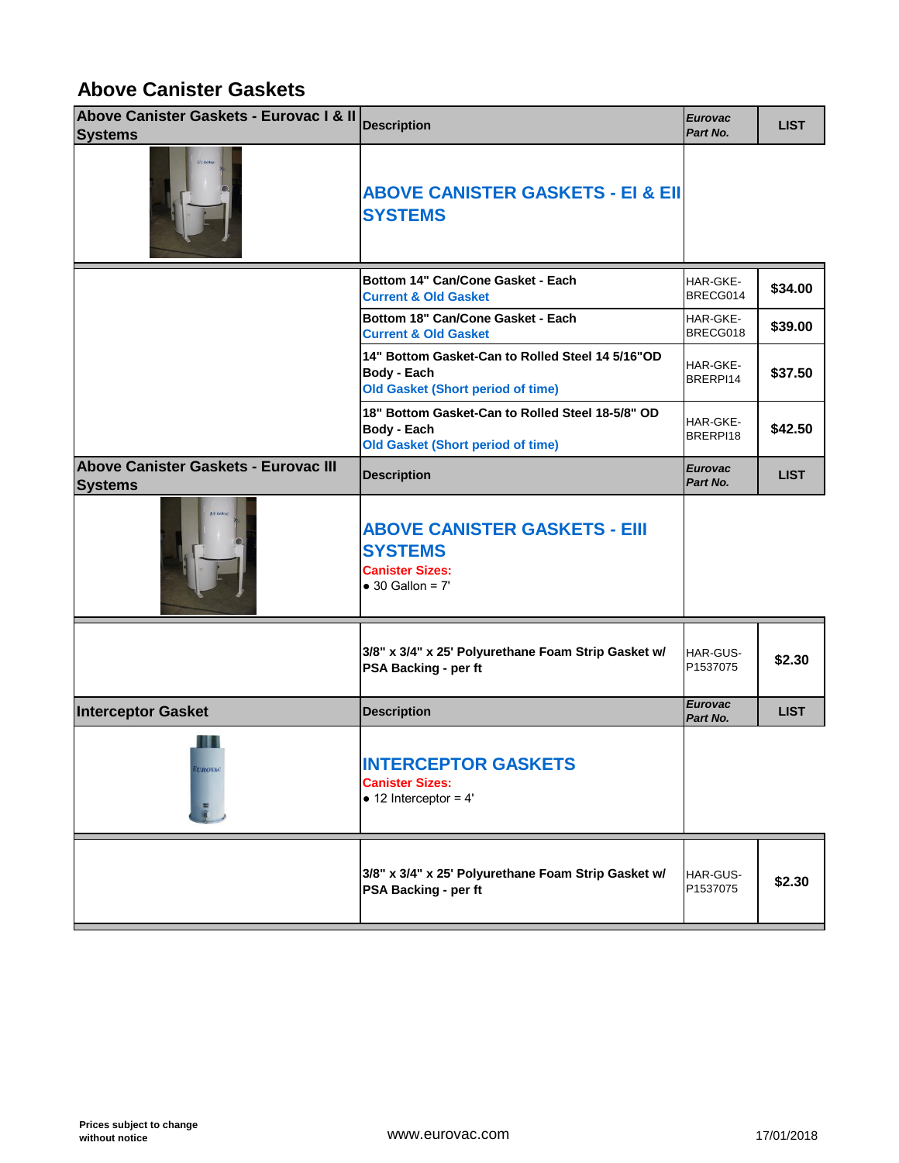#### **Above Canister Gaskets**

| Above Canister Gaskets - Eurovac I & II<br><b>Systems</b> | <b>Description</b>                                                                                                 | <b>Eurovac</b><br>Part No. |
|-----------------------------------------------------------|--------------------------------------------------------------------------------------------------------------------|----------------------------|
|                                                           | <b>ABOVE CANISTER GASKETS - EI &amp; EII</b><br><b>SYSTEMS</b>                                                     |                            |
|                                                           | Bottom 14" Can/Cone Gasket - Each<br><b>Current &amp; Old Gasket</b>                                               | HAR-GKE-<br>BRECG014       |
|                                                           | Bottom 18" Can/Cone Gasket - Each<br><b>Current &amp; Old Gasket</b>                                               | HAR-GKE-<br>BRECG018       |
|                                                           | 14" Bottom Gasket-Can to Rolled Steel 14 5/16"OD<br><b>Body - Each</b><br><b>Old Gasket (Short period of time)</b> | HAR-GKE-<br>BRERPI14       |
|                                                           | 18" Bottom Gasket-Can to Rolled Steel 18-5/8" OD<br><b>Body - Each</b><br><b>Old Gasket (Short period of time)</b> | HAR-GKE-<br>BRERPI18       |
| Above Canister Gaskets - Eurovac III<br><b>Systems</b>    | <b>Description</b>                                                                                                 | <b>Eurovac</b><br>Part No. |
|                                                           | <b>ABOVE CANISTER GASKETS - EIII</b><br><b>SYSTEMS</b><br><b>Canister Sizes:</b><br>$\bullet$ 30 Gallon = 7'       |                            |
|                                                           | 3/8" x 3/4" x 25' Polyurethane Foam Strip Gasket w/<br>PSA Backing - per ft                                        | HAR-GUS-<br>P1537075       |
| <b>Interceptor Gasket</b>                                 | <b>Description</b>                                                                                                 | <b>Eurovac</b><br>Part No. |
| 18 U<br><b>EUROVAC</b>                                    | <b>INTERCEPTOR GASKETS</b><br><b>Canister Sizes:</b><br>$\bullet$ 12 Interceptor = 4'                              |                            |
|                                                           | 3/8" x 3/4" x 25' Polyurethane Foam Strip Gasket w/<br>PSA Backing - per ft                                        | HAR-GUS-<br>P1537075       |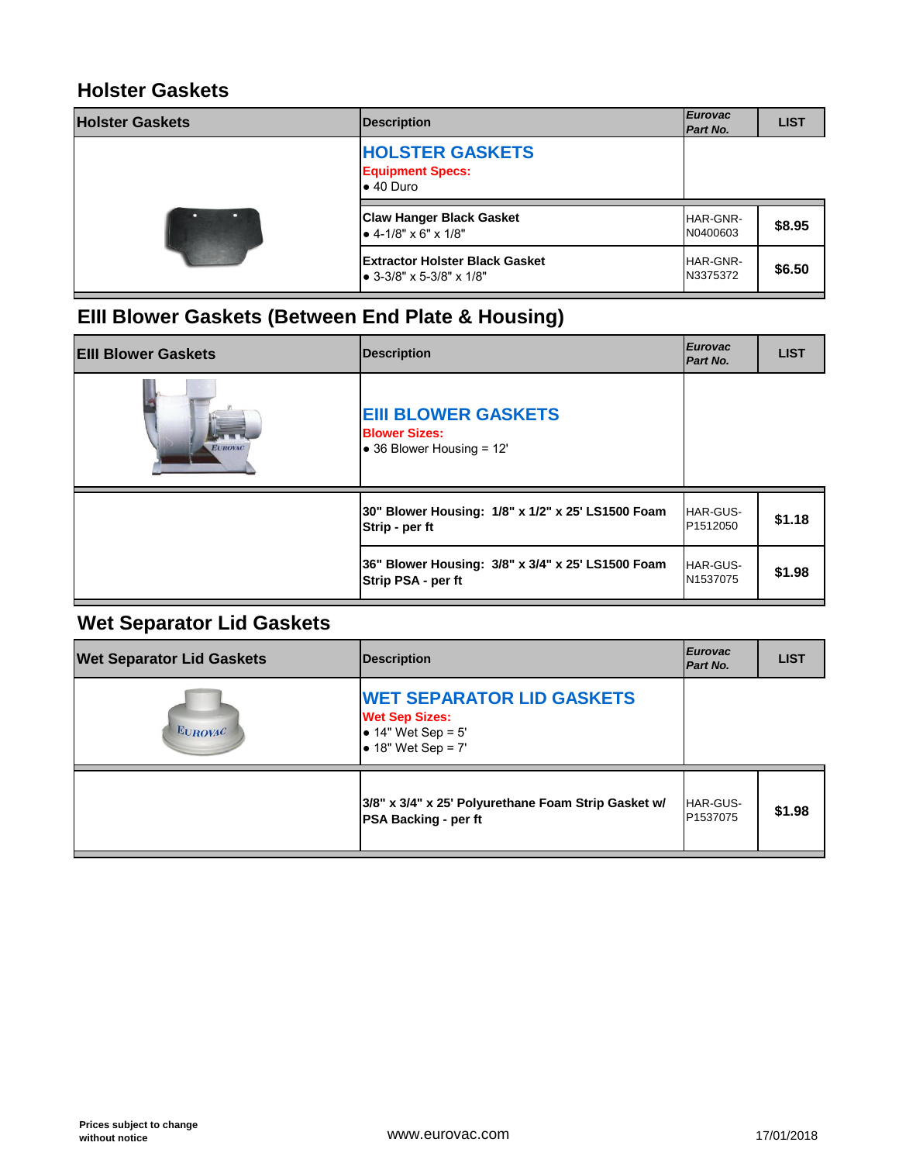#### **Holster Gaskets**

| <b>Holster Gaskets</b> | <b>Description</b>                                                     | <b>Eurovac</b><br>Part No. |
|------------------------|------------------------------------------------------------------------|----------------------------|
|                        | <b>HOLSTER GASKETS</b><br><b>Equipment Specs:</b><br>$\bullet$ 40 Duro |                            |
|                        | <b>Claw Hanger Black Gasket</b><br>$\bullet$ 4-1/8" x 6" x 1/8"        | HAR-GNR-<br>N0400603       |
|                        | <b>Extractor Holster Black Gasket</b>                                  | HAR-GNR-                   |

### **EIII Blower Gaskets (Between End Plate & Housing)**

| <b>EIII Blower Gaskets</b> | Description                                                                     | <b>Eurovac</b><br>Part No.  |
|----------------------------|---------------------------------------------------------------------------------|-----------------------------|
| <b>EUROVAC</b>             | <b>EIII BLOWER GASKETS</b><br><b>Blower Sizes:</b><br>• 36 Blower Housing = 12' |                             |
|                            | 30" Blower Housing: 1/8" x 1/2" x 25' LS1500 Foam<br>Strip - per ft             | <b>HAR-GUS-</b><br>P1512050 |
|                            | 36" Blower Housing: 3/8" x 3/4" x 25' LS1500 Foam<br>Strip PSA - per ft         | HAR-GUS-<br>N1537075        |

## **Wet Separator Lid Gaskets**

| <b>Wet Separator Lid Gaskets</b> | <b>Description</b>                                                                                                | <b>Eurovac</b><br>Part No.  |
|----------------------------------|-------------------------------------------------------------------------------------------------------------------|-----------------------------|
| <b>EUROVAC</b>                   | <b>WET SEPARATOR LID GASKETS</b><br><b>Wet Sep Sizes:</b><br>• $14"$ Wet Sep = $5'$<br>$\bullet$ 18" Wet Sep = 7' |                             |
|                                  | 3/8" x 3/4" x 25' Polyurethane Foam Strip Gasket w/<br><b>PSA Backing - per ft</b>                                | <b>HAR-GUS-</b><br>P1537075 |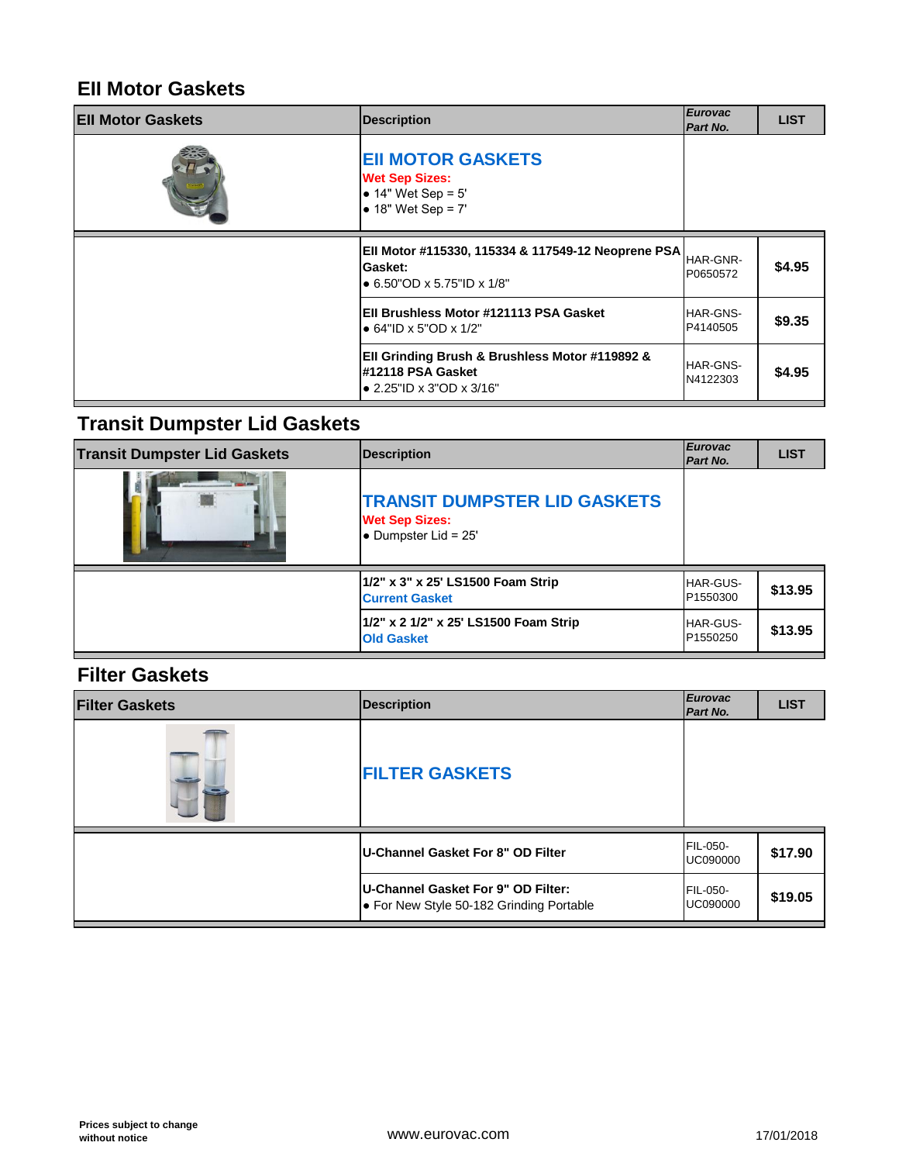### **EII Motor Gaskets**

| <b>EII Motor Gaskets</b> | <b>Description</b>                                                                                    | <b>Eurovac</b><br>Part No. |
|--------------------------|-------------------------------------------------------------------------------------------------------|----------------------------|
|                          | <b>EII MOTOR GASKETS</b><br><b>Wet Sep Sizes:</b><br>• $14"$ Wet Sep = $5'$<br>• $18"$ Wet Sep = $7'$ |                            |
|                          | Ell Motor #115330, 115334 & 117549-12 Neoprene PSA<br>Gasket:<br>$\bullet$ 6.50"OD x 5.75"ID x 1/8"   | HAR-GNR-<br>P0650572       |
|                          | Ell Brushless Motor #121113 PSA Gasket<br>$\bullet$ 64"ID x 5"OD x 1/2"                               | HAR-GNS-<br>P4140505       |
|                          | Ell Grinding Brush & Brushless Motor #119892 &<br>#12118 PSA Gasket<br>• 2.25"ID x 3"OD x 3/16"       | HAR-GNS-<br>N4122303       |

# **Transit Dumpster Lid Gaskets**

| <b>Transit Dumpster Lid Gaskets</b> | <b>Description</b>                                                                           | <b>Eurovac</b><br>Part No.  |
|-------------------------------------|----------------------------------------------------------------------------------------------|-----------------------------|
|                                     | <b>TRANSIT DUMPSTER LID GASKETS</b><br><b>Wet Sep Sizes:</b><br>$\bullet$ Dumpster Lid = 25' |                             |
|                                     | 1/2" x 3" x 25' LS1500 Foam Strip<br><b>Current Gasket</b>                                   | <b>HAR-GUS-</b><br>P1550300 |
|                                     | 1/2" x 2 1/2" x 25' LS1500 Foam Strip<br><b>Old Gasket</b>                                   | <b>HAR-GUS-</b><br>P1550250 |

#### **Filter Gaskets**

| <b>Filter Gaskets</b> | <b>Description</b>                                                             | <b>Eurovac</b><br>Part No.         |
|-----------------------|--------------------------------------------------------------------------------|------------------------------------|
|                       | <b>FILTER GASKETS</b>                                                          |                                    |
|                       | U-Channel Gasket For 8" OD Filter                                              | <b>FIL-050-</b><br><b>UC090000</b> |
|                       | U-Channel Gasket For 9" OD Filter:<br>• For New Style 50-182 Grinding Portable | FIL-050-<br>UC090000               |